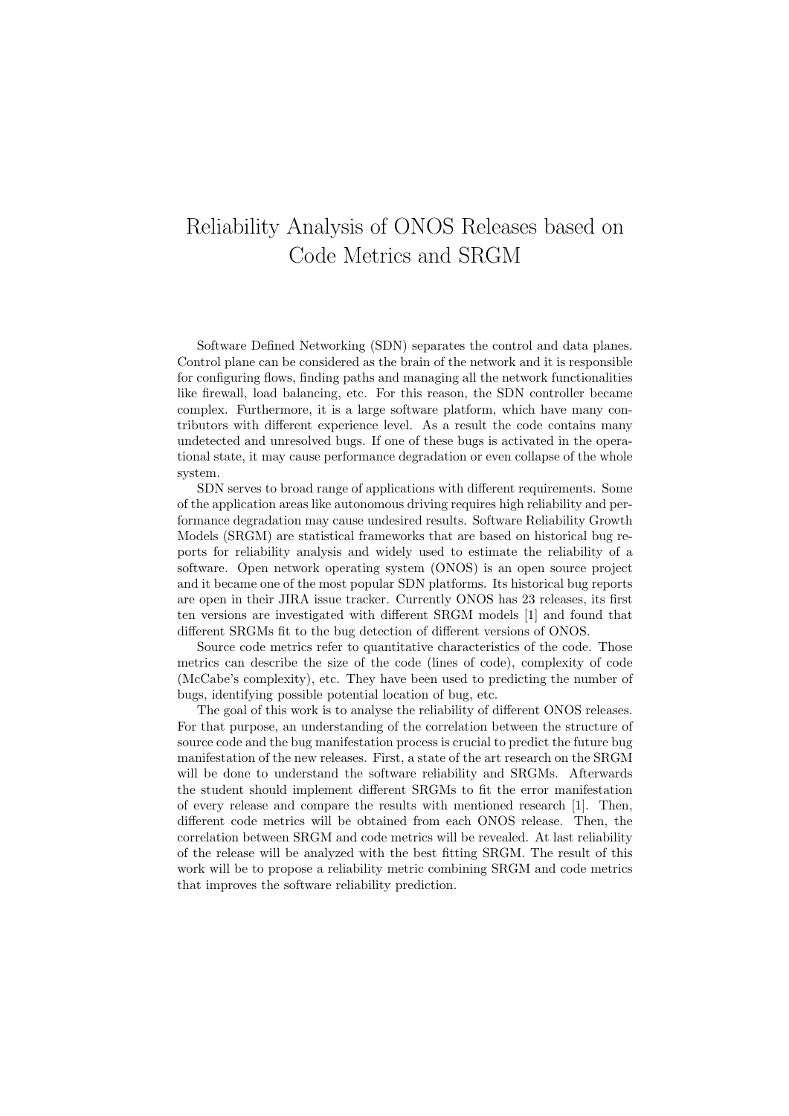## Reliability Analysis of ONOS Releases based on Code Metrics and SRGM

Software Defined Networking (SDN) separates the control and data planes. Control plane can be considered as the brain of the network and it is responsible for configuring flows, finding paths and managing all the network functionalities like firewall, load balancing, etc. For this reason, the SDN controller became complex. Furthermore, it is a large software platform, which have many contributors with different experience level. As a result the code contains many undetected and unresolved bugs. If one of these bugs is activated in the operational state, it may cause performance degradation or even collapse of the whole system.

SDN serves to broad range of applications with different requirements. Some of the application areas like autonomous driving requires high reliability and performance degradation may cause undesired results. Software Reliability Growth Models (SRGM) are statistical frameworks that are based on historical bug reports for reliability analysis and widely used to estimate the reliability of a software. Open network operating system (ONOS) is an open source project and it became one of the most popular SDN platforms. Its historical bug reports are open in their JIRA issue tracker. Currently ONOS has 23 releases, its first ten versions are investigated with different SRGM models [1] and found that different SRGMs fit to the bug detection of different versions of ONOS.

Source code metrics refer to quantitative characteristics of the code. Those metrics can describe the size of the code (lines of code), complexity of code (McCabe's complexity), etc. They have been used to predicting the number of bugs, identifying possible potential location of bug, etc.

The goal of this work is to analyse the reliability of different ONOS releases. For that purpose, an understanding of the correlation between the structure of source code and the bug manifestation process is crucial to predict the future bug manifestation of the new releases. First, a state of the art research on the SRGM will be done to understand the software reliability and SRGMs. Afterwards the student should implement different SRGMs to fit the error manifestation of every release and compare the results with mentioned research [1]. Then, different code metrics will be obtained from each ONOS release. Then, the correlation between SRGM and code metrics will be revealed. At last reliability of the release will be analyzed with the best fitting SRGM. The result of this work will be to propose a reliability metric combining SRGM and code metrics that improves the software reliability prediction.